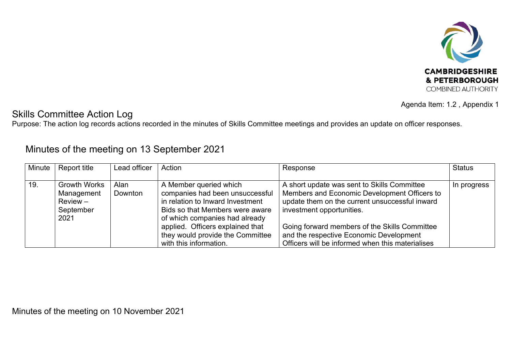

Agenda Item: 1.2 , Appendix 1

## Skills Committee Action Log

Purpose: The action log records actions recorded in the minutes of Skills Committee meetings and provides an update on officer responses.

## Minutes of the meeting on 13 September 2021

| Minute | Report title                                                 | Lead officer    | Action                                                                                                                           | Response                                                                                                                                                                   | <b>Status</b> |
|--------|--------------------------------------------------------------|-----------------|----------------------------------------------------------------------------------------------------------------------------------|----------------------------------------------------------------------------------------------------------------------------------------------------------------------------|---------------|
|        |                                                              |                 |                                                                                                                                  |                                                                                                                                                                            |               |
| 19.    | <b>Growth Works</b><br>Management<br>$Review -$<br>September | Alan<br>Downton | A Member queried which<br>companies had been unsuccessful<br>in relation to Inward Investment<br>Bids so that Members were aware | A short update was sent to Skills Committee<br>Members and Economic Development Officers to<br>update them on the current unsuccessful inward<br>investment opportunities. | In progress   |
|        | 2021                                                         |                 | of which companies had already<br>applied. Officers explained that<br>they would provide the Committee<br>with this information. | Going forward members of the Skills Committee<br>and the respective Economic Development<br>Officers will be informed when this materialises                               |               |

Minutes of the meeting on 10 November 2021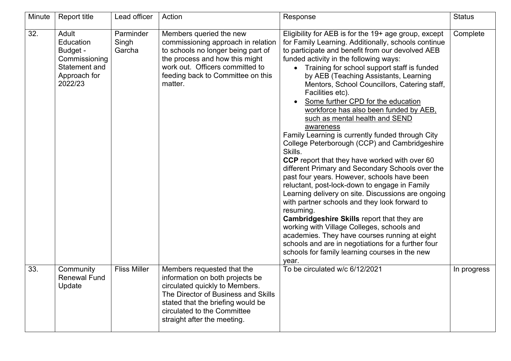| Minute | Report title                                                                                | Lead officer                 | Action                                                                                                                                                                                                                                    | Response                                                                                                                                                                                                                                                                                                                                                                                                                                                                                                                                                                                                                                                                                                                                                                                                                                                                                                                                                                                                                                                                                                                                                                                                           | <b>Status</b> |
|--------|---------------------------------------------------------------------------------------------|------------------------------|-------------------------------------------------------------------------------------------------------------------------------------------------------------------------------------------------------------------------------------------|--------------------------------------------------------------------------------------------------------------------------------------------------------------------------------------------------------------------------------------------------------------------------------------------------------------------------------------------------------------------------------------------------------------------------------------------------------------------------------------------------------------------------------------------------------------------------------------------------------------------------------------------------------------------------------------------------------------------------------------------------------------------------------------------------------------------------------------------------------------------------------------------------------------------------------------------------------------------------------------------------------------------------------------------------------------------------------------------------------------------------------------------------------------------------------------------------------------------|---------------|
| 32.    | Adult<br>Education<br>Budget -<br>Commissioning<br>Statement and<br>Approach for<br>2022/23 | Parminder<br>Singh<br>Garcha | Members queried the new<br>commissioning approach in relation<br>to schools no longer being part of<br>the process and how this might<br>work out. Officers committed to<br>feeding back to Committee on this<br>matter.                  | Eligibility for AEB is for the 19+ age group, except<br>for Family Learning. Additionally, schools continue<br>to participate and benefit from our devolved AEB<br>funded activity in the following ways:<br>Training for school support staff is funded<br>by AEB (Teaching Assistants, Learning<br>Mentors, School Councillors, Catering staff,<br>Facilities etc).<br>Some further CPD for the education<br>workforce has also been funded by AEB,<br>such as mental health and SEND<br>awareness<br>Family Learning is currently funded through City<br>College Peterborough (CCP) and Cambridgeshire<br>Skills.<br>CCP report that they have worked with over 60<br>different Primary and Secondary Schools over the<br>past four years. However, schools have been<br>reluctant, post-lock-down to engage in Family<br>Learning delivery on site. Discussions are ongoing<br>with partner schools and they look forward to<br>resuming.<br><b>Cambridgeshire Skills report that they are</b><br>working with Village Colleges, schools and<br>academies. They have courses running at eight<br>schools and are in negotiations for a further four<br>schools for family learning courses in the new<br>year. | Complete      |
| 33.    | Community<br><b>Renewal Fund</b><br>Update                                                  | <b>Fliss Miller</b>          | Members requested that the<br>information on both projects be<br>circulated quickly to Members.<br>The Director of Business and Skills<br>stated that the briefing would be<br>circulated to the Committee<br>straight after the meeting. | To be circulated w/c 6/12/2021                                                                                                                                                                                                                                                                                                                                                                                                                                                                                                                                                                                                                                                                                                                                                                                                                                                                                                                                                                                                                                                                                                                                                                                     | In progress   |